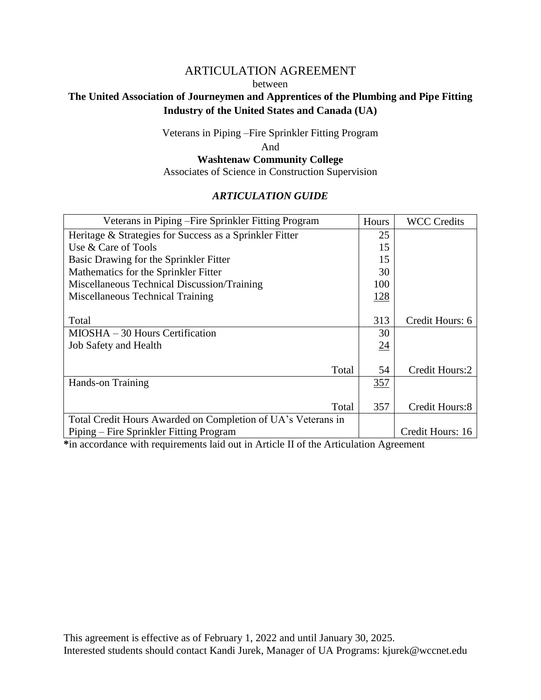# ARTICULATION AGREEMENT between **The United Association of Journeymen and Apprentices of the Plumbing and Pipe Fitting Industry of the United States and Canada (UA)**

Veterans in Piping –Fire Sprinkler Fitting Program

And

# **Washtenaw Community College**

Associates of Science in Construction Supervision

## *ARTICULATION GUIDE*

| Veterans in Piping – Fire Sprinkler Fitting Program          | Hours | <b>WCC Credits</b> |
|--------------------------------------------------------------|-------|--------------------|
| Heritage & Strategies for Success as a Sprinkler Fitter      | 25    |                    |
| Use & Care of Tools                                          | 15    |                    |
| Basic Drawing for the Sprinkler Fitter                       | 15    |                    |
| Mathematics for the Sprinkler Fitter                         | 30    |                    |
| Miscellaneous Technical Discussion/Training                  | 100   |                    |
| Miscellaneous Technical Training                             | 128   |                    |
|                                                              |       |                    |
| Total                                                        | 313   | Credit Hours: 6    |
| MIOSHA – 30 Hours Certification                              | 30    |                    |
| <b>Job Safety and Health</b>                                 | 24    |                    |
|                                                              |       |                    |
| Total                                                        | 54    | Credit Hours:2     |
| Hands-on Training                                            | 357   |                    |
|                                                              |       |                    |
| Total                                                        | 357   | Credit Hours:8     |
| Total Credit Hours Awarded on Completion of UA's Veterans in |       |                    |
| Piping – Fire Sprinkler Fitting Program                      |       | Credit Hours: 16   |

**\***in accordance with requirements laid out in Article II of the Articulation Agreement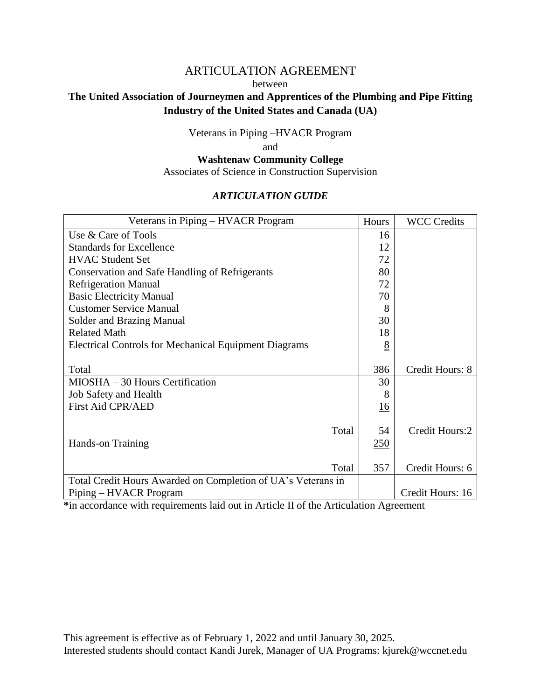# ARTICULATION AGREEMENT between **The United Association of Journeymen and Apprentices of the Plumbing and Pipe Fitting Industry of the United States and Canada (UA)**

Veterans in Piping –HVACR Program

and

### **Washtenaw Community College** Associates of Science in Construction Supervision

## *ARTICULATION GUIDE*

| Veterans in Piping - HVACR Program                           | Hours      | <b>WCC Credits</b> |
|--------------------------------------------------------------|------------|--------------------|
| Use & Care of Tools                                          | 16         |                    |
| <b>Standards for Excellence</b>                              | 12         |                    |
| <b>HVAC Student Set</b>                                      | 72         |                    |
| <b>Conservation and Safe Handling of Refrigerants</b>        | 80         |                    |
| <b>Refrigeration Manual</b>                                  | 72         |                    |
| <b>Basic Electricity Manual</b>                              | 70         |                    |
| <b>Customer Service Manual</b>                               | 8          |                    |
| Solder and Brazing Manual                                    | 30         |                    |
| <b>Related Math</b>                                          | 18         |                    |
| <b>Electrical Controls for Mechanical Equipment Diagrams</b> | 8          |                    |
|                                                              |            |                    |
| Total                                                        | 386        | Credit Hours: 8    |
| MIOSHA - 30 Hours Certification                              | 30         |                    |
| <b>Job Safety and Health</b>                                 | 8          |                    |
| <b>First Aid CPR/AED</b>                                     | 16         |                    |
|                                                              |            |                    |
| Total                                                        | 54         | Credit Hours:2     |
| Hands-on Training                                            | <u>250</u> |                    |
|                                                              |            |                    |
| Total                                                        | 357        | Credit Hours: 6    |
| Total Credit Hours Awarded on Completion of UA's Veterans in |            |                    |
| Piping – HVACR Program                                       |            | Credit Hours: 16   |

**\***in accordance with requirements laid out in Article II of the Articulation Agreement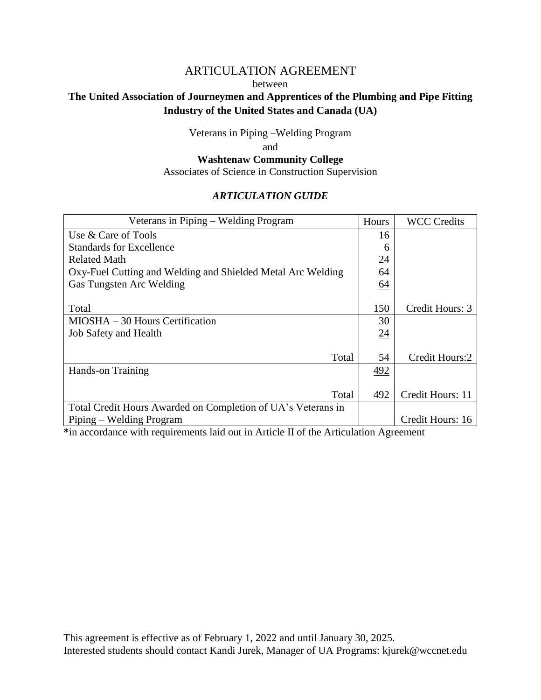# ARTICULATION AGREEMENT between **The United Association of Journeymen and Apprentices of the Plumbing and Pipe Fitting Industry of the United States and Canada (UA)**

Veterans in Piping –Welding Program

and

# **Washtenaw Community College**

Associates of Science in Construction Supervision

## *ARTICULATION GUIDE*

| Veterans in Piping – Welding Program                         | Hours           | <b>WCC Credits</b> |
|--------------------------------------------------------------|-----------------|--------------------|
| Use & Care of Tools                                          | 16              |                    |
| <b>Standards for Excellence</b>                              | 6               |                    |
| Related Math                                                 | 24              |                    |
| Oxy-Fuel Cutting and Welding and Shielded Metal Arc Welding  | 64              |                    |
| Gas Tungsten Arc Welding                                     | 64              |                    |
|                                                              |                 |                    |
| Total                                                        | 150             | Credit Hours: 3    |
| MIOSHA – 30 Hours Certification                              | 30              |                    |
| <b>Job Safety and Health</b>                                 | $\overline{24}$ |                    |
|                                                              |                 |                    |
| Total                                                        | 54              | Credit Hours:2     |
| <b>Hands-on Training</b>                                     | 492             |                    |
|                                                              |                 |                    |
| Total                                                        | 492             | Credit Hours: 11   |
| Total Credit Hours Awarded on Completion of UA's Veterans in |                 |                    |
| Piping – Welding Program                                     |                 | Credit Hours: 16   |

**\***in accordance with requirements laid out in Article II of the Articulation Agreement